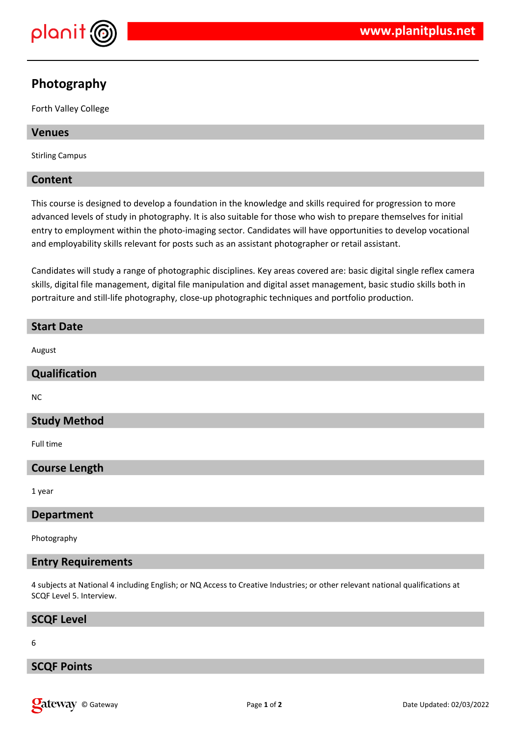

# **Photography**

Forth Valley College

#### **Venues**

Stirling Campus

#### **Content**

This course is designed to develop a foundation in the knowledge and skills required for progression to more advanced levels of study in photography. It is also suitable for those who wish to prepare themselves for initial entry to employment within the photo-imaging sector. Candidates will have opportunities to develop vocational and employability skills relevant for posts such as an assistant photographer or retail assistant.

Candidates will study a range of photographic disciplines. Key areas covered are: basic digital single reflex camera skills, digital file management, digital file manipulation and digital asset management, basic studio skills both in portraiture and still-life photography, close-up photographic techniques and portfolio production.

# **Start Date** August **Qualification** NC **Study Method** Full time **Course Length** 1 year

**Department**

Photography

#### **Entry Requirements**

4 subjects at National 4 including English; or NQ Access to Creative Industries; or other relevant national qualifications at SCQF Level 5. Interview.

#### **SCQF Level**

6

#### **SCQF Points**